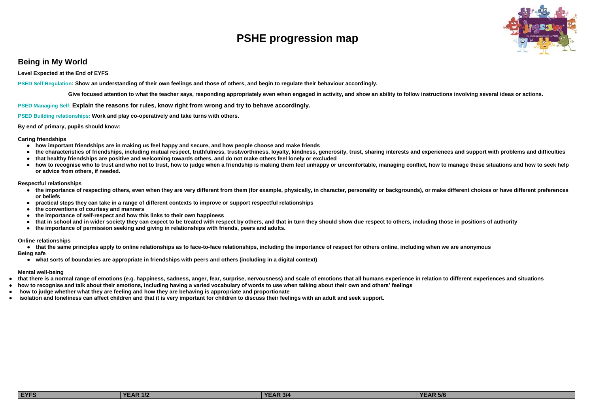# **PSHE progression map**

## **Being in My World**

### **Level Expected at the End of EYFS**

**PSED Self Regulation: Show an understanding of their own feelings and those of others, and begin to regulate their behaviour accordingly.**

 **Give focused attention to what the teacher says, responding appropriately even when engaged in activity, and show an ability to follow instructions involving several ideas or actions.**

**PSED Managing Self: Explain the reasons for rules, know right from wrong and try to behave accordingly.**

**PSED Building relationships: Work and play co-operatively and take turns with others.**

**By end of primary, pupils should know:** 

#### **Caring friendships**

- **how important friendships are in making us feel happy and secure, and how people choose and make friends**
- **the characteristics of friendships, including mutual respect, truthfulness, trustworthiness, loyalty, kindness, generosity, trust, sharing interests and experiences and support with problems and difficulties**
- **that healthy friendships are positive and welcoming towards others, and do not make others feel lonely or excluded**
- how to recognise who to trust and who not to trust, how to judge when a friendship is making them feel unhappy or uncomfortable, managing conflict, how to manage these situations and how to seek help **or advice from others, if needed.**

#### **Respectful relationships**

- **the importance of respecting others, even when they are very different from them (for example, physically, in character, personality or backgrounds), or make different choices or have different preferences or beliefs**
- **practical steps they can take in a range of different contexts to improve or support respectful relationships**
- **the conventions of courtesy and manners**
- **the importance of self-respect and how this links to their own happiness**
- that in school and in wider society they can expect to be treated with respect by others, and that in turn they should show due respect to others, including those in positions of authority
- **the importance of permission seeking and giving in relationships with friends, peers and adults.**

#### **Online relationships**

● **that the same principles apply to online relationships as to face-to-face relationships, including the importance of respect for others online, including when we are anonymous Being safe**

● **what sorts of boundaries are appropriate in friendships with peers and others (including in a digital context)** 

### **Mental well-being**

- that there is a normal range of emotions (e.g. happiness, sadness, anger, fear, surprise, nervousness) and scale of emotions that all humans experience in relation to different experiences and situations
- **how to recognise and talk about their emotions, including having a varied vocabulary of words to use when talking about their own and others' feelings**
- **how to judge whether what they are feeling and how they are behaving is appropriate and proportionate**
- isolation and loneliness can affect children and that it is very important for children to discuss their feelings with an adult and seek support.

| <b>EYFS</b> | .<br>$\overline{AB}$<br><b>YEAR</b><br>$\blacksquare$ | $YF\Delta R$ 3/4<br>314 | F10<br>. |
|-------------|-------------------------------------------------------|-------------------------|----------|
|             |                                                       |                         |          |

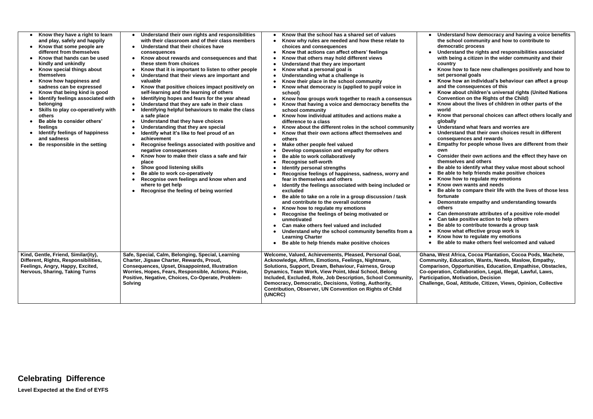| Know they have a right to learn<br>and play, safely and happily<br>Know that some people are<br>different from themselves<br>Know that hands can be used<br>kindly and unkindly<br>Know special things about<br>themselves<br>Know how happiness and<br>sadness can be expressed<br>Know that being kind is good<br>Identify feelings associated with<br>belonging<br>Skills to play co-operatively with<br>others<br>Be able to consider others'<br>feelings<br><b>Identify feelings of happiness</b><br>and sadness<br>Be responsible in the setting | Understand their own rights and responsibilities<br>with their classroom and of their class members<br>Understand that their choices have<br>consequences<br>Know about rewards and consequences and that<br>$\bullet$<br>these stem from choices<br>Know that it is important to listen to other people<br>$\bullet$<br>Understand that their views are important and<br>valuable<br>Know that positive choices impact positively on<br>$\bullet$<br>self-learning and the learning of others<br>Identifying hopes and fears for the year ahead<br>$\bullet$<br>Understand that they are safe in their class<br>Identifying helpful behaviours to make the class<br>$\bullet$<br>a safe place<br>Understand that they have choices<br>$\bullet$<br>Understanding that they are special<br>Identify what it's like to feel proud of an<br>achievement<br>Recognise feelings associated with positive and<br>$\bullet$<br>negative consequences<br>Know how to make their class a safe and fair<br>$\bullet$<br>place<br><b>Show good listening skills</b><br>$\bullet$<br>Be able to work co-operatively<br>Recognise own feelings and know when and<br>$\bullet$<br>where to get help<br>Recognise the feeling of being worried<br>$\bullet$ | Know that the school has a shared set of values<br>$\bullet$<br>Know why rules are needed and how these relate to<br>choices and consequences<br>Know that actions can affect others' feelings<br>Know that others may hold different views<br>Understand that they are important<br>Know what a personal goal is<br>$\bullet$<br>Understanding what a challenge is<br>Know their place in the school community<br>Know what democracy is (applied to pupil voice in<br>$\bullet$<br>school)<br>Know how groups work together to reach a consensus<br>Know that having a voice and democracy benefits the<br>school community<br>Know how individual attitudes and actions make a<br>difference to a class<br>Know about the different roles in the school community<br>Know that their own actions affect themselves and<br>others<br>Make other people feel valued<br>Develop compassion and empathy for others<br>Be able to work collaboratively<br><b>Recognise self-worth</b><br>Identify personal strengths<br>Recognise feelings of happiness, sadness, worry and<br>fear in themselves and others<br>Identify the feelings associated with being included or<br>excluded<br>Be able to take on a role in a group discussion / task<br>and contribute to the overall outcome<br>Know how to regulate my emotions<br>Recognise the feelings of being motivated or<br>unmotivated<br>Can make others feel valued and included<br>Understand why the school community benefits from a<br><b>Learning Charter</b><br>Be able to help friends make positive choices | <b>Under</b><br>$\bullet$<br>the sc<br>demo<br>Under<br>with b<br>count<br>Know<br>set pe<br>Know<br>and th<br>Know<br>$\bullet$<br>Conve<br>Know<br>world<br>Know<br>$\bullet$<br>global<br><b>Under</b><br>$\bullet$<br><b>Under</b><br>conse<br>Empat<br>$\bullet$<br>own<br>Consi<br>thems<br>Be abl<br>Be abl<br>Know<br>Know<br>Be abl<br>fortun<br>Demo<br>others<br>Can d<br>Can ta<br>Be abl<br>Know<br>Know<br>Be abl |
|--------------------------------------------------------------------------------------------------------------------------------------------------------------------------------------------------------------------------------------------------------------------------------------------------------------------------------------------------------------------------------------------------------------------------------------------------------------------------------------------------------------------------------------------------------|-----------------------------------------------------------------------------------------------------------------------------------------------------------------------------------------------------------------------------------------------------------------------------------------------------------------------------------------------------------------------------------------------------------------------------------------------------------------------------------------------------------------------------------------------------------------------------------------------------------------------------------------------------------------------------------------------------------------------------------------------------------------------------------------------------------------------------------------------------------------------------------------------------------------------------------------------------------------------------------------------------------------------------------------------------------------------------------------------------------------------------------------------------------------------------------------------------------------------------------------------|------------------------------------------------------------------------------------------------------------------------------------------------------------------------------------------------------------------------------------------------------------------------------------------------------------------------------------------------------------------------------------------------------------------------------------------------------------------------------------------------------------------------------------------------------------------------------------------------------------------------------------------------------------------------------------------------------------------------------------------------------------------------------------------------------------------------------------------------------------------------------------------------------------------------------------------------------------------------------------------------------------------------------------------------------------------------------------------------------------------------------------------------------------------------------------------------------------------------------------------------------------------------------------------------------------------------------------------------------------------------------------------------------------------------------------------------------------------------------------------------------------------------------------------------------------------------|---------------------------------------------------------------------------------------------------------------------------------------------------------------------------------------------------------------------------------------------------------------------------------------------------------------------------------------------------------------------------------------------------------------------------------|
| Kind, Gentle, Friend, Similar(ity),<br>Different, Rights, Responsibilities,<br>Feelings, Angry, Happy, Excited,<br>Nervous, Sharing, Taking Turns                                                                                                                                                                                                                                                                                                                                                                                                      | Safe, Special, Calm, Belonging, Special, Learning<br>Charter, Jigsaw Charter, Rewards, Proud,<br><b>Consequences, Upset, Disappointed, Illustration</b><br>Worries, Hopes, Fears, Responsible, Actions, Praise,<br>Positive, Negative, Choices, Co-Operate, Problem-<br>Solving                                                                                                                                                                                                                                                                                                                                                                                                                                                                                                                                                                                                                                                                                                                                                                                                                                                                                                                                                               | Welcome, Valued, Achievements, Pleased, Personal Goal,<br>Acknowledge, Affirm, Emotions, Feelings, Nightmare,<br>Solutions, Support, Dream, Behaviour, Fairness, Group<br>Dynamics, Team Work, View Point, Ideal School, Belong<br>Included, Excluded, Role, Job Description, School Community,<br>Democracy, Democratic, Decisions, Voting, Authority,<br><b>Contribution, Observer, UN Convention on Rights of Child</b><br>(UNCRC)                                                                                                                                                                                                                                                                                                                                                                                                                                                                                                                                                                                                                                                                                                                                                                                                                                                                                                                                                                                                                                                                                                                                  | Ghana, West<br><b>Community, E</b><br>Comparison,<br>Co-operation,<br>Participation,<br>Challenge, Go                                                                                                                                                                                                                                                                                                                           |
|                                                                                                                                                                                                                                                                                                                                                                                                                                                                                                                                                        |                                                                                                                                                                                                                                                                                                                                                                                                                                                                                                                                                                                                                                                                                                                                                                                                                                                                                                                                                                                                                                                                                                                                                                                                                                               |                                                                                                                                                                                                                                                                                                                                                                                                                                                                                                                                                                                                                                                                                                                                                                                                                                                                                                                                                                                                                                                                                                                                                                                                                                                                                                                                                                                                                                                                                                                                                                        |                                                                                                                                                                                                                                                                                                                                                                                                                                 |

- **Participation, Motivation, Decision**
- **Coal, Attitude, Citizen, Views, Opinion, Collective**

**Level Expected at the End of EYFS**

- erstand how democracy and having a voice benefits **the school community and how to contribute to democratic process**
- erstand the rights and responsibilities associated **with being a citizen in the wider community and their country**
- w how to face new challenges positively and how to **set personal goals**
- w how an individual's behaviour can affect a group **and the consequences of this**
- **Know about children's universal rights (United Nations Convention on the Rights of the Child)**
- w about the lives of children in other parts of the
- w that personal choices can affect others locally and **ally**
- **erstand what fears and worries are**
- erstand that their own choices result in different **consequences and rewards**
- athy for people whose lives are different from their
- **Consider their own actions and the effect they have on themselves and others**
- ble to identify what they value most about school **ble to help friends make positive choices**
- **Know how to regulate my emotions**
- **Know own wants and needs**
- **ble to compare their life with the lives of those less nate**
- **onstrate empathy and understanding towards**  $rs$
- demonstrate attributes of a positive role-model **take positive action to help others**
- **ble to contribute towards a group task**
- **Know what effective group work is**
- **Know how to regulate my emotions**
- **ble to make others feel welcomed and valued**

**Africa, Cocoa Plantation, Cocoa Pods, Machete,** Education, Wants, Needs, Maslow, Empathy, **Compart Compates, Education, Empathise, Obstacles,** n, Collaboration, Legal, Illegal, Lawful, Laws,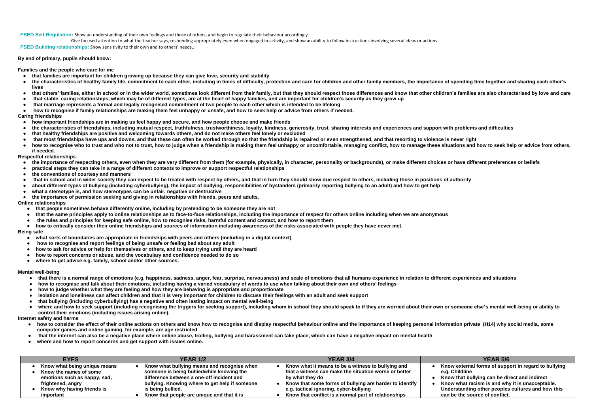#### **PSED Self Regulation:** Show an understanding of their own feelings and those of others, and begin to regulate their behaviour accordingly.

Give focused attention to what the teacher says, responding appropriately even when engaged in activity, and show an ability to follow instructions involving several ideas or actions. **PSED Building relationships:** Show sensitivity to their own and to others' needs.**.**

#### **By end of primary, pupils should know:**

#### **Families and the people who care for me**

- **that families are important for children growing up because they can give love, security and stability**
- the characteristics of healthy family life, commitment to each other, including in times of difficulty, protection and care for children and other family members, the importance of spending time together and sharing each o **lives**
- that others' families, either in school or in the wider world, sometimes look different from their family, but that they should respect those differences and know that other children's families are also characterised by lo
- **that stable, caring relationships, which may be of different types, are at the heart of happy families, and are important for children's security as they grow up**
- **that marriage represents a formal and legally recognised commitment of two people to each other which is intended to be lifelong**
- **how to recognise if family relationships are making them feel unhappy or unsafe, and how to seek help or advice from others if needed.**

#### **Caring friendships**

- the importance of respecting others, even when they are very different from them (for example, physically, in character, personality or backgrounds), or make different choices or have different preferences or beliefs
- **practical steps they can take in a range of different contexts to improve or support respectful relationships**
- the conventions of courtesy and manners
- that in school and in wider society they can expect to be treated with respect by others, and that in turn they should show due respect to others, including those in positions of authority
- about different types of bullying (including cyberbullying), the impact of bullying, responsibilities of bystanders (primarily reporting bullying to an adult) and how to get help
- what a stereotype is, and how stereotypes can be unfair, negative or destructive
- **the importance of permission seeking and giving in relationships with friends, peers and adults.**
- **how important friendships are in making us feel happy and secure, and how people choose and make friends**
- **the characteristics of friendships, including mutual respect, truthfulness, trustworthiness, loyalty, kindness, generosity, trust, sharing interests and experiences and support with problems and difficulties**
- **that healthy friendships are positive and welcoming towards others, and do not make others feel lonely or excluded**
- that most friendships have ups and downs, and that these can often be worked through so that the friendship is repaired or even strengthened, and that resorting to violence is never right
- how to recognise who to trust and who not to trust, how to judge when a friendship is making them feel unhappy or uncomfortable, managing conflict, how to manage these situations and how to seek help or advice from others. **if needed.**

- **what sorts of boundaries are appropriate in friendships with peers and others (including in a digital context)**
- **how to recognise and report feelings of being unsafe or feeling bad about any adult**
- **how to ask for advice or help for themselves or others, and to keep trying until they are heard**
- **how to report concerns or abuse, and the vocabulary and confidence needed to do so**
- where to get advice e.g. family, school and/or other sources.

#### **Respectful relationships**

- how to consider the effect of their online actions on others and know how to recognise and display respectful behaviour online and the importance of keeping personal information private (H14) why social media, some **computer games and online gaming, for example, are age restricted**
- that the internet can also be a negative place where online abuse, trolling, bullying and harassment can take place, which can have a negative impact on mental health
- **where and how to report concerns and get support with issues online.**

#### **Online relationships**

**how external forms of support in regard to bullying e.g. Childline how that bullying can be direct and indirect how what racism is and why it is unacceptable. Understanding other peoples cultures and how this can be the source of conflict.** 

- **that people sometimes behave differently online, including by pretending to be someone they are not**
- **that the same principles apply to online relationships as to face-to-face relationships, including the importance of respect for others online including when we are anonymous**
- the rules and principles for keeping safe online, how to recognise risks, harmful content and contact, and how to report them
- **how to critically consider their online friendships and sources of information including awareness of the risks associated with people they have never met.**

**Being safe**

#### **Mental well-being**

- **that there is a normal range of emotions (e.g. happiness, sadness, anger, fear, surprise, nervousness) and scale of emotions that all humans experience in relation to different experiences and situations**
- **how to recognise and talk about their emotions, including having a varied vocabulary of words to use when talking about their own and others' feelings**
- **how to judge whether what they are feeling and how they are behaving is appropriate and proportionate**
- isolation and loneliness can affect children and that it is very important for children to discuss their feelings with an adult and seek support
- **that bullying (including cyberbullying) has a negative and often lasting impact on mental well-being**
- where and how to seek support (including recognising the triggers for seeking support), including whom in school they should speak to if they are worried about their own or someone else's mental well-being or ability to **control their emotions (including issues arising online).**

**Internet safety and harms** 

| <b>EYFS</b>                  | <b>YEAR 1/2</b>                                | <b>YEAR 3/4</b>                                         | <b>YEAR 5/6</b>                    |
|------------------------------|------------------------------------------------|---------------------------------------------------------|------------------------------------|
| Know what being unique means | Know what bullying means and recognise when    | Know what it means to be a witness to bullying and      | Know external forms of supp        |
| Know the names of some       | someone is being bullied while knowing the     | that a witness can make the situation worse or better   | e.g. Childline                     |
| emotions such as happy, sad, | difference between a one-off incident and      | by what they do                                         | Know that bullying can be di       |
| frightened, angry            | bullying. Knowing where to get help if someone | Know that some forms of bullying are harder to identify | Know what racism is and wh         |
| Know why having friends is   | is being bullied.                              | e.g. tactical ignoring, cyber-bullying                  | <b>Understanding other peoples</b> |
| important                    | Know that people are unique and that it is     | Know that conflict is a normal part of relationships    | can be the source of conflict      |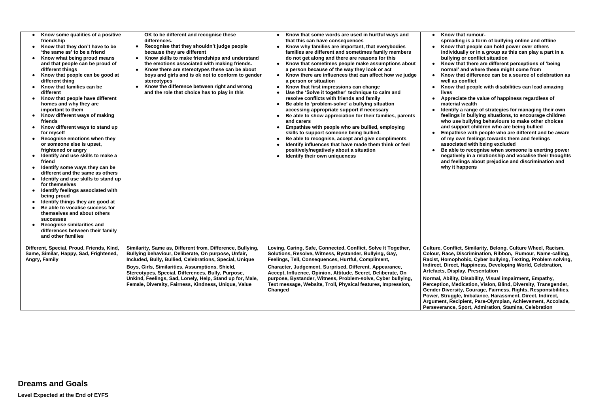| Know some qualities of a positive<br>friendship<br>Know that they don't have to be<br>'the same as' to be a friend<br>Know what being proud means<br>and that people can be proud of<br>different things<br>Know that people can be good at<br>different thing<br>Know that families can be<br>different<br>Know that people have different<br>homes and why they are<br>important to them<br>Know different ways of making<br>friends<br>Know different ways to stand up<br>for myself<br>Recognise emotions when they<br>or someone else is upset,<br>frightened or angry<br>Identify and use skills to make a<br>friend<br>Identify some ways they can be<br>different and the same as others<br>Identify and use skills to stand up<br>for themselves<br>Identify feelings associated with<br>being proud<br>Identify things they are good at<br>Be able to vocalise success for<br>themselves and about others<br><b>SUCCESSES</b><br><b>Recognise similarities and</b><br>differences between their family<br>and other families | OK to be different and recognise these<br>differences.<br>Recognise that they shouldn't judge people<br>because they are different<br>Know skills to make friendships and understand<br>the emotions associated with making friends.<br>Know there are stereotypes these can be about<br>boys and girls and is ok not to conform to gender<br>stereotypes<br>Know the difference between right and wrong<br>and the role that choice has to play in this | Know that some words are used in hurtful ways and<br>that this can have consequences<br>Know why families are important, that everybodies<br>families are different and sometimes family members<br>do not get along and there are reasons for this<br>Know that sometimes people make assumptions about<br>a person because of the way they look or act<br>Know there are influences that can affect how we judge<br>a person or situation<br>Know that first impressions can change<br>$\bullet$<br>Use the 'Solve it together' technique to calm and<br>resolve conflicts with friends and family<br>Be able to 'problem-solve' a bullying situation<br>$\bullet$<br>accessing appropriate support if necessary<br>Be able to show appreciation for their families, parents<br>$\bullet$<br>and carers<br>Empathise with people who are bullied, employing<br>skills to support someone being bullied.<br>Be able to recognise, accept and give compliments<br>$\bullet$<br>Identify influences that have made them think or feel<br>positively/negatively about a situation<br>Identify their own uniqueness<br>$\bullet$ | Kno<br>$\bullet$<br>spro<br>Knc<br>indi<br>bull<br>Knc<br>nor<br>Knc<br>$\bullet$<br>well<br>Knc<br><u>live</u><br>App<br>$\bullet$<br>mat<br>lder<br>feel<br>who<br>and<br>Em<br>of n<br>ass<br>Be a<br>neg<br>and<br>why |
|----------------------------------------------------------------------------------------------------------------------------------------------------------------------------------------------------------------------------------------------------------------------------------------------------------------------------------------------------------------------------------------------------------------------------------------------------------------------------------------------------------------------------------------------------------------------------------------------------------------------------------------------------------------------------------------------------------------------------------------------------------------------------------------------------------------------------------------------------------------------------------------------------------------------------------------------------------------------------------------------------------------------------------------|----------------------------------------------------------------------------------------------------------------------------------------------------------------------------------------------------------------------------------------------------------------------------------------------------------------------------------------------------------------------------------------------------------------------------------------------------------|-------------------------------------------------------------------------------------------------------------------------------------------------------------------------------------------------------------------------------------------------------------------------------------------------------------------------------------------------------------------------------------------------------------------------------------------------------------------------------------------------------------------------------------------------------------------------------------------------------------------------------------------------------------------------------------------------------------------------------------------------------------------------------------------------------------------------------------------------------------------------------------------------------------------------------------------------------------------------------------------------------------------------------------------------------------------------------------------------------------------------------|----------------------------------------------------------------------------------------------------------------------------------------------------------------------------------------------------------------------------|
| Different, Special, Proud, Friends, Kind,<br>Same, Similar, Happy, Sad, Frightened,<br>Angry, Family                                                                                                                                                                                                                                                                                                                                                                                                                                                                                                                                                                                                                                                                                                                                                                                                                                                                                                                                   | Similarity, Same as, Different from, Difference, Bullying,<br>Bullying behaviour, Deliberate, On purpose, Unfair,<br>Included, Bully, Bullied, Celebrations, Special, Unique<br>Boys, Girls, Similarities, Assumptions, Shield,<br>Stereotypes, Special, Differences, Bully, Purpose,<br>Unkind, Feelings, Sad, Lonely, Help, Stand up for, Male,<br>Female, Diversity, Fairness, Kindness, Unique, Value                                                | Loving, Caring, Safe, Connected, Conflict, Solve It Together,<br>Solutions, Resolve, Witness, Bystander, Bullying, Gay,<br>Feelings, Tell, Consequences, Hurtful, Compliment,<br>Character, Judgement, Surprised, Different, Appearance,<br>Accept, Influence, Opinion, Attitude, Secret, Deliberate, On<br>purpose, Bystander, Witness, Problem-solve, Cyber bullying,<br>Text message, Website, Troll, Physical features, Impression,<br>Changed                                                                                                                                                                                                                                                                                                                                                                                                                                                                                                                                                                                                                                                                            | Culture, Co<br>Colour, Rad<br>Racist, Hon<br>Indirect, Di<br>Artefacts, D<br>Normal, Ab<br>Perception,<br><b>Gender Div</b><br>Power, Stru<br>Argument,<br>Perseveran                                                      |

- **spreading is a form of bullying online and offline**  ow that people can hold power over others **individually or in a group as this can play a part in a bullying or conflict situation**
- ow that there are different perceptions of 'being **normal' and where these might come from**
- ow that difference can be a source of celebration as **well as conflict**
- ow that people with disabilities can lead amazing **lives**
- preciate the value of happiness regardless of <sub>.</sub><br>terial wealth
- **Identify a range of strategies for managing their own feelings in bullying situations, to encourage children who use bullying behaviours to make other choices and support children who are being bullied**
- pathise with people who are different and be aware **of my own feelings towards them and feelings associated with being excluded**
- able to recognise when someone is exerting power **negatively in a relationship and vocalise their thoughts and feelings about prejudice and discrimination and why it happens**

**Culture, Conflict, Similarity, Belong, Culture Wheel, Racism, Colour, Race, Discrimination, Ribbon, Rumour, Name-calling, Racist, Homophobic, Cyber bullying, Texting, Problem solving, Indirity** Piech, Developing World, Celebration, **Artefacts, Display, Presentation**

**Normal, Ability, Disability, Visual impairment, Empathy, Medication, Vision, Blind, Diversity, Transgender, Gender Diversity, Courage, Fairness, Rights, Responsibilities, Power, Struggle, Imbalance, Harassment, Direct, Indirect, Argument, Recipient, Para-Olympian, Achievement, Accolade, Perseverance, Sport, Admiration, Stamina, Celebration**

ow that rumour-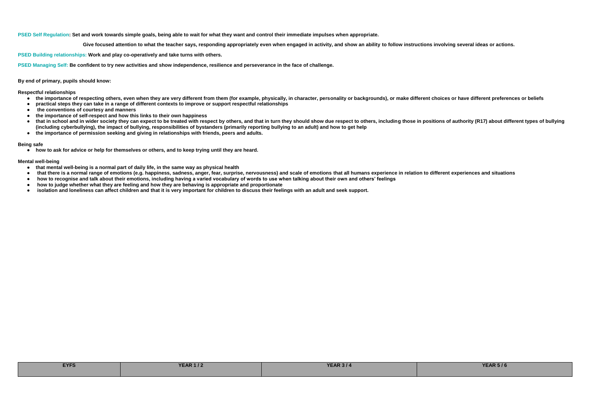**PSED Self Regulation: Set and work towards simple goals, being able to wait for what they want and control their immediate impulses when appropriate.**

Give focused attention to what the teacher says, responding appropriately even when engaged in activity, and show an ability to follow instructions involving several ideas or actions.

**PSED Building relationships: Work and play co-operatively and take turns with others.**

**PSED Managing Self: Be confident to try new activities and show independence, resilience and perseverance in the face of challenge.**

**By end of primary, pupils should know:** 

**Respectful relationships**

- the importance of respecting others, even when they are very different from them (for example, physically, in character, personality or backgrounds), or make different choices or have different preferences or beliefs
- **practical steps they can take in a range of different contexts to improve or support respectful relationships**
- **the conventions of courtesy and manners**
- **the importance of self-respect and how this links to their own happiness**
- that in school and in wider society they can expect to be treated with respect by others, and that in turn they should show due respect to others, including those in positions of authority (R17) about different types of bu **(including cyberbullying), the impact of bullying, responsibilities of bystanders (primarily reporting bullying to an adult) and how to get help**
- **the importance of permission seeking and giving in relationships with friends, peers and adults.**

#### **Being safe**

● **how to ask for advice or help for themselves or others, and to keep trying until they are heard.**

#### **Mental well-being**

- **that mental well-being is a normal part of daily life, in the same way as physical health**
- **that there is a normal range of emotions (e.g. happiness, sadness, anger, fear, surprise, nervousness) and scale of emotions that all humans experience in relation to different experiences and situations**
- how to recognise and talk about their emotions, including having a varied vocabulary of words to use when talking about their own and others' feelings
- **how to judge whether what they are feeling and how they are behaving is appropriate and proportionate**
- **isolation and loneliness can affect children and that it is very important for children to discuss their feelings with an adult and seek support.**

| <b>EYFS</b> | <u> The Communication of the Communication of the Communication of the Communication of the Communication of the Communication of the Communication of the Communication of the Communication of the Communication of the Commun</u> | — <u>д</u> к.<br>- - -<br><u>the community of the community of the community of the community of the community of the community of the community of the community of the community of the community of the community of the community of the community of </u> | the company of the company of the company of |
|-------------|--------------------------------------------------------------------------------------------------------------------------------------------------------------------------------------------------------------------------------------|----------------------------------------------------------------------------------------------------------------------------------------------------------------------------------------------------------------------------------------------------------------|----------------------------------------------|
|             |                                                                                                                                                                                                                                      |                                                                                                                                                                                                                                                                |                                              |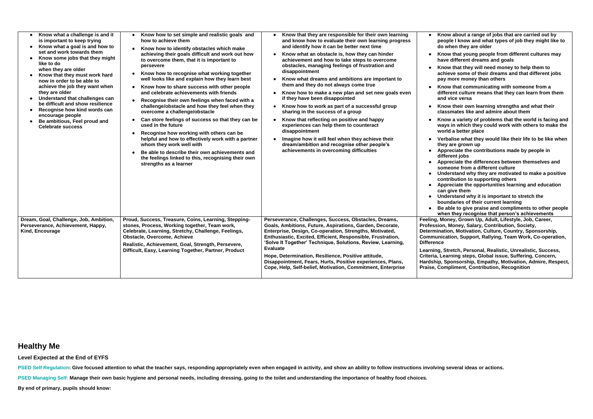- ow about a range of jobs that are carried out by **people I know and what types of job they might like to**  when they are older
- ow that young people from different cultures may **have different dreams and goals**
- ow that they will need money to help them to **achieve some of their dreams and that different jobs pay more money than others**
- ow that communicating with someone from a ferent culture means that they can learn from them **and vice versa**
- ow their own learning strengths and what their **classmates like and admire about them**
- ow a variety of problems that the world is facing and ys in which they could work with others to make the **world a better place**
- **rbalise what they would like their life to be like when they are grown up**
- preciate the contributions made by people in **different jobs**
- **preciate the differences between themselves and someone from a different culture**
- derstand why they are motivated to make a positive **contribution to supporting others**
- preciate the opportunities learning and education **can give them**
- derstand why it is important to stretch the **boundaries of their current learning**
- able to give praise and compliments to other people **when they recognise that person's achievements**
- **Feeling, Money, Grown Up, Adult, Lifestyle, Job, Career, Profession, Money, Salary, Contribution, Society,**
- **Determination, Motivation, Culture, Country, Sponsorship,**
- **Communication, Support, Rallying, Team Work, Co-operation,**

| Know what a challenge is and it<br>is important to keep trying<br>Know what a goal is and how to<br>set and work towards them<br>Know some jobs that they might<br>like to do<br>when they are older<br>Know that they must work hard<br>now in order to be able to<br>achieve the job they want when<br>they are older<br>Understand that challenges can<br>be difficult and show resilience<br>Recognise how kind words can<br>encourage people<br>Be ambitious, Feel proud and<br><b>Celebrate success</b> | Know how to set simple and realistic goals and<br>how to achieve them<br>Know how to identify obstacles which make<br>achieving their goals difficult and work out how<br>to overcome them, that it is important to<br>persevere<br>Know how to recognise what working together<br>well looks like and explain how they learn best<br>Know how to share success with other people<br>and celebrate achievements with friends<br>Recognise their own feelings when faced with a<br>challenge/obstacle and how they feel when they<br>overcome a challenge/obstacle<br>Can store feelings of success so that they can be<br>used in the future<br>Recognise how working with others can be<br>helpful and how to effectively work with a partner<br>whom they work well with<br>Be able to describe their own achievements and<br>the feelings linked to this, recognising their own<br>strengths as a learner | Know that they are responsible for their own learning<br>and know how to evaluate their own learning progress<br>and identify how it can be better next time<br>Know what an obstacle is, how they can hinder<br>$\bullet$<br>achievement and how to take steps to overcome<br>obstacles, managing feelings of frustration and<br>disappointment<br>Know what dreams and ambitions are important to<br>$\bullet$<br>them and they do not always come true<br>Know how to make a new plan and set new goals even<br>$\bullet$<br>if they have been disappointed<br>Know how to work as part of a successful group<br>$\bullet$<br>sharing in the success of a group<br>Know that reflecting on positive and happy<br>$\bullet$<br>experiences can help them to counteract<br>disappointment<br>Imagine how it will feel when they achieve their<br>dream/ambition and recognise other people's<br>achievements in overcoming difficulties | Kno<br>$\bullet$<br>pec<br>do<br>Kno<br>ha۱<br>Kno<br>ach<br>pay<br>Kno<br>diff<br>and<br><b>Kn</b><br>cla:<br>Kno<br>wa<br><b>WO</b><br>Ver<br>the<br>Ap<br>diff<br>Ap<br>$\bullet$<br>sor<br>Un<br>$\bullet$<br>cor<br>Ap<br>car<br>Un<br>$\bullet$<br>bοι<br>Be<br>$\bullet$<br>wh |
|---------------------------------------------------------------------------------------------------------------------------------------------------------------------------------------------------------------------------------------------------------------------------------------------------------------------------------------------------------------------------------------------------------------------------------------------------------------------------------------------------------------|--------------------------------------------------------------------------------------------------------------------------------------------------------------------------------------------------------------------------------------------------------------------------------------------------------------------------------------------------------------------------------------------------------------------------------------------------------------------------------------------------------------------------------------------------------------------------------------------------------------------------------------------------------------------------------------------------------------------------------------------------------------------------------------------------------------------------------------------------------------------------------------------------------------|------------------------------------------------------------------------------------------------------------------------------------------------------------------------------------------------------------------------------------------------------------------------------------------------------------------------------------------------------------------------------------------------------------------------------------------------------------------------------------------------------------------------------------------------------------------------------------------------------------------------------------------------------------------------------------------------------------------------------------------------------------------------------------------------------------------------------------------------------------------------------------------------------------------------------------------|---------------------------------------------------------------------------------------------------------------------------------------------------------------------------------------------------------------------------------------------------------------------------------------|
| Dream, Goal, Challenge, Job, Ambition,<br>Perseverance, Achievement, Happy,<br>Kind, Encourage                                                                                                                                                                                                                                                                                                                                                                                                                | Proud, Success, Treasure, Coins, Learning, Stepping-<br>stones, Process, Working together, Team work,<br>Celebrate, Learning, Stretchy, Challenge, Feelings,<br>Obstacle, Overcome, Achieve<br>Realistic, Achievement, Goal, Strength, Persevere,<br>Difficult, Easy, Learning Together, Partner, Product                                                                                                                                                                                                                                                                                                                                                                                                                                                                                                                                                                                                    | Perseverance, Challenges, Success, Obstacles, Dreams,<br>Goals, Ambitions, Future, Aspirations, Garden, Decorate,<br>Enterprise, Design, Co-operation, Strengths, Motivated,<br>Enthusiastic, Excited, Efficient, Responsible, Frustration,<br>'Solve It Together' Technique, Solutions, Review, Learning,<br><b>Evaluate</b><br>Hope, Determination, Resilience, Positive attitude,<br>Disappointment, Fears, Hurts, Positive experiences, Plans,<br>Cope, Help, Self-belief, Motivation, Commitment, Enterprise                                                                                                                                                                                                                                                                                                                                                                                                                        | Feeling, Mo<br><b>Profession</b><br><b>Determinat</b><br>Communic<br><b>Difference</b><br>Learning, S<br>Criteria, Le<br>Hardship, 9<br>Praise, Cor                                                                                                                                   |

**Stretch, Personal, Realistic, Unrealistic, Success, Criteria, Learning steps, Global issue, Suffering, Concern, Sponsorship, Empathy, Motivation, Admire, Respect, Praise, Compliment, Contribution, Recognition**

## **Healthy Me**

**Level Expected at the End of EYFS**

PSED Self Regulation: Give focused attention to what the teacher says, responding appropriately even when engaged in activity, and show an ability to follow instructions involving several ideas or actions.

**PSED Managing Self: Manage their own basic hygiene and personal needs, including dressing, going to the toilet and understanding the importance of healthy food choices.**

**By end of primary, pupils should know:**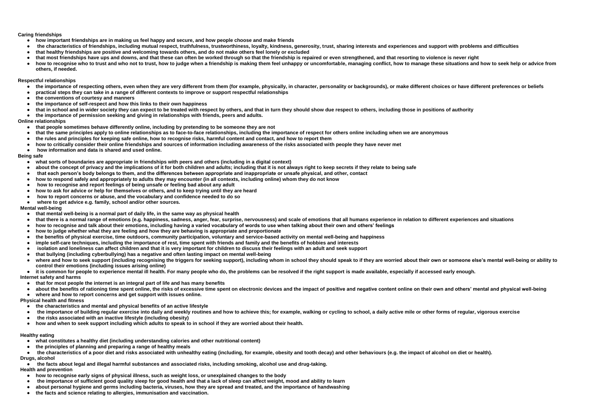**Caring friendships**

- **how important friendships are in making us feel happy and secure, and how people choose and make friends**
- the characteristics of friendships, including mutual respect, truthfulness, trustworthiness, loyalty, kindness, generosity, trust, sharing interests and experiences and support with problems and difficulties
- that healthy friendships are positive and welcoming towards others, and do not make others feel lonely or excluded
- that most friendships have ups and downs, and that these can often be worked through so that the friendship is repaired or even strengthened, and that resorting to violence is never right
- how to recognise who to trust and who not to trust, how to judge when a friendship is making them feel unhappy or uncomfortable, managing conflict, how to manage these situations and how to seek help or advice from **others, if needed.**

- the importance of respecting others, even when they are very different from them (for example, physically, in character, personality or backgrounds), or make different choices or have different preferences or beliefs
- **practical steps they can take in a range of different contexts to improve or support respectful relationships**
- **the conventions of courtesy and manners**
- **the importance of self-respect and how this links to their own happiness**
- **that in school and in wider society they can expect to be treated with respect by others, and that in turn they should show due respect to others, including those in positions of authority**
- **the importance of permission seeking and giving in relationships with friends, peers and adults.**

#### **Respectful relationships**

- **what sorts of boundaries are appropriate in friendships with peers and others (including in a digital context)**
- **about the concept of privacy and the implications of it for both children and adults; including that it is not always right to keep secrets if they relate to being safe**
- **that each person's body belongs to them, and the differences between appropriate and inappropriate or unsafe physical, and other, contact**
- **how to respond safely and appropriately to adults they may encounter (in all contexts, including online) whom they do not know**
- **how to recognise and report feelings of being unsafe or feeling bad about any adult**
- how to ask for advice or help for themselves or others, and to keep trying until they are heard
- **how to report concerns or abuse, and the vocabulary and confidence needed to do so**
- where to get advice e.g. family, school and/or other sources.

#### **Online relationships**

- **that people sometimes behave differently online, including by pretending to be someone they are not**
- **that the same principles apply to online relationships as to face-to-face relationships, including the importance of respect for others online including when we are anonymous**
- **the rules and principles for keeping safe online, how to recognise risks, harmful content and contact, and how to report them**
- **how to critically consider their online friendships and sources of information including awareness of the risks associated with people they have never met**
- **how information and data is shared and used online.**

#### **Being safe**

It is common for people to experience mental ill health. For many people who do, the problems can be resolved if the right support is made available, especially if accessed early enough. **Internet safety and harms**

- **the characteristics and mental and physical benefits of an active lifestyle**
- the importance of building regular exercise into daily and weekly routines and how to achieve this; for example, walking or cycling to school, a daily active mile or other forms of regular, vigorous exercise
- **the risks associated with an inactive lifestyle (including obesity)**
- how and when to seek support including which adults to speak to in school if they are worried about their health.

- what constitutes a healthy diet (including understanding calories and other nutritional content)
- **the principles of planning and preparing a range of healthy meals**
- the characteristics of a poor diet and risks associated with unhealthy eating (including, for example, obesity and tooth decay) and other behaviours (e.g. the impact of alcohol on diet or health). **Drugs, alcohol**
- **the facts about legal and illegal harmful substances and associated risks, including smoking, alcohol use and drug-taking.**

#### **Mental well-being**

- **that mental well-being is a normal part of daily life, in the same way as physical health**
- that there is a normal range of emotions (e.g. happiness, sadness, anger, fear, surprise, nervousness) and scale of emotions that all humans experience in relation to different experiences and situations
- **how to recognise and talk about their emotions, including having a varied vocabulary of words to use when talking about their own and others' feelings**
- **how to judge whether what they are feeling and how they are behaving is appropriate and proportionate**
- the benefits of physical exercise, time outdoors, community participation, voluntary and service-based activity on mental well-being and happiness
- **imple self-care techniques, including the importance of rest, time spent with friends and family and the benefits of hobbies and interests**
- **isolation and loneliness can affect children and that it is very important for children to discuss their feelings with an adult and seek support**
- **that bullying (including cyberbullying) has a negative and often lasting impact on mental well-being**
- where and how to seek support (including recognising the triggers for seeking support), including whom in school they should speak to if they are worried about their own or someone else's mental well-being or ability to **control their emotions (including issues arising online)**

- **that for most people the internet is an integral part of life and has many benefits**
- about the benefits of rationing time spent online, the risks of excessive time spent on electronic devices and the impact of positive and negative content online on their own and others' mental and physical well-being
- **where and how to report concerns and get support with issues online.**

### **Physical health and fitness**

#### **Healthy eating**

### **Health and prevention**

- **how to recognise early signs of physical illness, such as weight loss, or unexplained changes to the body**
- the importance of sufficient good quality sleep for good health and that a lack of sleep can affect weight, mood and ability to learn
- about personal hygiene and germs including bacteria, viruses, how they are spread and treated, and the importance of handwashing
- **the facts and science relating to allergies, immunisation and vaccination.**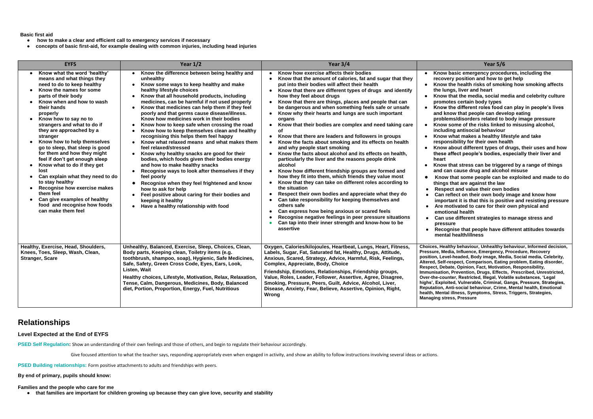**Basic first aid**

- **how to make a clear and efficient call to emergency services if necessary**
- **concepts of basic first-aid, for example dealing with common injuries, including head injuries**

| <b>EYFS</b>                                                                                                                                                                                                                                                                                                                                                                                                                                                                                                                                                                                                                                                            | Year $1/2$                                                                                                                                                                                                                                                                                                                                                                                                                                                                                                                                                                                                                                                                                                                                                                                                                                                                                                                                                                                                             | Year $3/4$                                                                                                                                                                                                                                                                                                                                                                                                                                                                                                                                                                                                                                                                                                                                                                                                                                                                                                                                                                                                                                                                                                                                                                                                                                                                                                                                                                    | Year $5/6$                                                                                                                                                                                                                                                                                                                                                                                                                                                                                                                                                                                                                                                                                                                                                                                                                                                                                                                                                                                                                                                                                                                                                                                                                                                                                                                                                                                                             |
|------------------------------------------------------------------------------------------------------------------------------------------------------------------------------------------------------------------------------------------------------------------------------------------------------------------------------------------------------------------------------------------------------------------------------------------------------------------------------------------------------------------------------------------------------------------------------------------------------------------------------------------------------------------------|------------------------------------------------------------------------------------------------------------------------------------------------------------------------------------------------------------------------------------------------------------------------------------------------------------------------------------------------------------------------------------------------------------------------------------------------------------------------------------------------------------------------------------------------------------------------------------------------------------------------------------------------------------------------------------------------------------------------------------------------------------------------------------------------------------------------------------------------------------------------------------------------------------------------------------------------------------------------------------------------------------------------|-------------------------------------------------------------------------------------------------------------------------------------------------------------------------------------------------------------------------------------------------------------------------------------------------------------------------------------------------------------------------------------------------------------------------------------------------------------------------------------------------------------------------------------------------------------------------------------------------------------------------------------------------------------------------------------------------------------------------------------------------------------------------------------------------------------------------------------------------------------------------------------------------------------------------------------------------------------------------------------------------------------------------------------------------------------------------------------------------------------------------------------------------------------------------------------------------------------------------------------------------------------------------------------------------------------------------------------------------------------------------------|------------------------------------------------------------------------------------------------------------------------------------------------------------------------------------------------------------------------------------------------------------------------------------------------------------------------------------------------------------------------------------------------------------------------------------------------------------------------------------------------------------------------------------------------------------------------------------------------------------------------------------------------------------------------------------------------------------------------------------------------------------------------------------------------------------------------------------------------------------------------------------------------------------------------------------------------------------------------------------------------------------------------------------------------------------------------------------------------------------------------------------------------------------------------------------------------------------------------------------------------------------------------------------------------------------------------------------------------------------------------------------------------------------------------|
| Know what the word 'healthy'<br>means and what things they<br>need to do to keep healthy<br>Know the names for some<br>parts of their body<br>Know when and how to wash<br>their hands<br>properly<br>Know how to say no to<br>strangers and what to do if<br>they are approached by a<br>stranger<br>Know how to help themselves<br>go to sleep, that sleep is good<br>for them and how they might<br>feel if don't get enough sleep<br>Know what to do if they get<br>lost<br>Can explain what they need to do<br>to stay healthy<br>Recognise how exercise makes<br>them feel<br>Can give examples of healthy<br>food and recognise how foods<br>can make them feel | Know the difference between being healthy and<br>unhealthy<br>• Know some ways to keep healthy and make<br>healthy lifestyle choices<br>• Know that all household products, including<br>medicines, can be harmful if not used properly<br>• Know that medicines can help them if they feel<br>poorly and that germs cause disease/illness.<br>Know how medicines work in their bodies<br>Know how to keep safe when crossing the road<br>Know how to keep themselves clean and healthy<br>recognising this helps them feel happy<br>• Know what relaxed means and what makes them<br>feel relaxed/stressed<br>Know why healthy snacks are good for their<br>bodies, which foods given their bodies energy<br>and how to make healthy snacks<br>Recognise ways to look after themselves if they<br>feel poorly<br>Recognise when they feel frightened and know<br>how to ask for help<br>• Feel positive about caring for their bodies and<br>keeping it healthy<br>Have a healthy relationship with food<br>$\bullet$ | Know how exercise affects their bodies<br>Know that the amount of calories, fat and sugar that they<br>$\bullet$<br>put into their bodies will affect their health<br>• Know that there are different types of drugs and identify<br>how they feel about drugs<br>• Know that there are things, places and people that can<br>be dangerous and when something feels safe or unsafe<br>• Know why their hearts and lungs are such important<br>organs<br>• Know that their bodies are complex and need taking care<br>οf<br>Know that there are leaders and followers in groups<br>$\bullet$<br>• Know the facts about smoking and its effects on health<br>and why people start smoking<br>• Know the facts about alcohol and its effects on health,<br>particularly the liver and the reasons people drink<br>alcohol<br>• Know how different friendship groups are formed and<br>how they fit into them, which friends they value most<br>• Know that they can take on different roles according to<br>the situation<br>• Respect their own bodies and appreciate what they do<br>Can take responsibility for keeping themselves and<br>$\bullet$<br>others safe<br>Can express how being anxious or scared feels<br>$\bullet$<br>Recognise negative feelings in peer pressure situations<br>Can tap into their inner strength and know-how to be<br>$\bullet$<br>assertive | • Know basic emergency procedures, including the<br>recovery position and how to get help<br>• Know the health risks of smoking how smoking affects<br>the lungs, liver and heart<br>• Know that the media, social media and celebrity culture<br>promotes certain body types<br>• Know the different roles food can play in people's lives<br>and know that people can develop eating<br>problems/disorders related to body image pressure<br>• Know some of the risks linked to misusing alcohol,<br>including antisocial behaviour<br>• Know what makes a healthy lifestyle and take<br>responsibility for their own health<br>• Know about different types of drugs, their uses and how<br>these affect people's bodies, especially their liver and<br>heart<br>Know that stress can be triggered by a range of things<br>$\bullet$<br>and can cause drug and alcohol misuse<br>Know that some people can be exploited and made to do<br>$\bullet$<br>things that are against the law<br>Respect and value their own bodies<br>$\bullet$<br>Can reflect on their own body image and know how<br>important it is that this is positive and resisting pressure<br>Are motivated to care for their own physical and<br>$\bullet$<br>emotional health<br>Can use different strategies to manage stress and<br>pressure<br>Recognise that people have different attitudes towards<br>$\bullet$<br>mental health/illness |
| Healthy, Exercise, Head, Shoulders,<br>Knees, Toes, Sleep, Wash, Clean,<br><b>Stranger, Scare</b>                                                                                                                                                                                                                                                                                                                                                                                                                                                                                                                                                                      | Unhealthy, Balanced, Exercise, Sleep, Choices, Clean,<br>Body parts, Keeping clean, Toiletry items (e.g.<br>toothbrush, shampoo, soap), Hygienic, Safe Medicines,<br>Safe, Safety, Green Cross Code, Eyes, Ears, Look,<br>Listen, Wait<br>Healthy choices, Lifestyle, Motivation, Relax, Relaxation,<br>Tense, Calm, Dangerous, Medicines, Body, Balanced<br>diet, Portion, Proportion, Energy, Fuel, Nutritious                                                                                                                                                                                                                                                                                                                                                                                                                                                                                                                                                                                                       | Oxygen, Calories/kilojoules, Heartbeat, Lungs, Heart, Fitness,<br>Labels, Sugar, Fat, Saturated fat, Healthy, Drugs, Attitude,<br>Anxious, Scared, Strategy, Advice, Harmful, Risk, Feelings,<br>Complex, Appreciate, Body, Choice<br>Friendship, Emotions, Relationships, Friendship groups,<br>Value, Roles, Leader, Follower, Assertive, Agree, Disagree,<br>Smoking, Pressure, Peers, Guilt, Advice, Alcohol, Liver,<br>Disease, Anxiety, Fear, Believe, Assertive, Opinion, Right,<br>Wrong                                                                                                                                                                                                                                                                                                                                                                                                                                                                                                                                                                                                                                                                                                                                                                                                                                                                              | Choices, Healthy behaviour, Unhealthy behaviour, Informed decision,<br>Pressure, Media, Influence, Emergency, Procedure, Recovery<br>position, Level-headed, Body image, Media, Social media, Celebrity,<br>Altered, Self-respect, Comparison, Eating problem, Eating disorder,<br>Respect, Debate, Opinion, Fact, Motivation, Responsibility,<br>Immunisation, Prevention, Drugs, Effects, Prescribed, Unrestricted,<br>Over-the-counter, Restricted, Illegal, Volatile substances, 'Legal<br>highs', Exploited, Vulnerable, Criminal, Gangs, Pressure, Strategies,<br>Reputation, Anti-social behaviour, Crime, Mental health, Emotional<br>health, Mental illness, Symptoms, Stress, Triggers, Strategies,<br><b>Managing stress, Pressure</b>                                                                                                                                                                                                                                                                                                                                                                                                                                                                                                                                                                                                                                                                      |

## **Relationships**

### **Level Expected at the End of EYFS**

**PSED Self Regulation:** Show an understanding of their own feelings and those of others, and begin to regulate their behaviour accordingly.

Give focused attention to what the teacher says, responding appropriately even when engaged in activity, and show an ability to follow instructions involving several ideas or actions.

**PSED Building relationships:** Form positive attachments to adults and friendships with peers.

#### **By end of primary, pupils should know:**

#### **Families and the people who care for me**

● **that families are important for children growing up because they can give love, security and stability**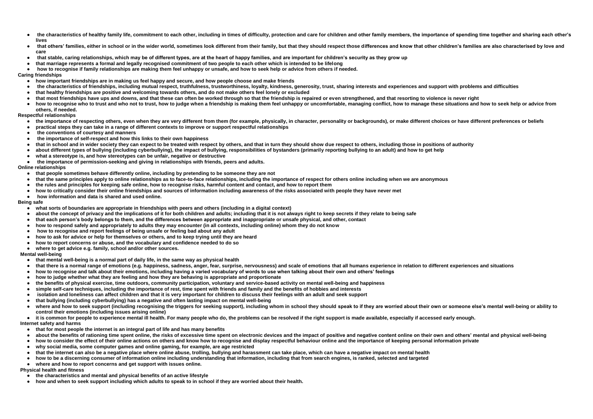- the characteristics of healthy family life, commitment to each other, including in times of difficulty, protection and care for children and other family members, the importance of spending time together and sharing each o **lives**
- that others' families, either in school or in the wider world, sometimes look different from their family, but that they should respect those differences and know that other children's families are also characterised by **care**
- that stable, caring relationships, which may be of different types, are at the heart of happy families, and are important for children's security as they grow up
- **that marriage represents a formal and legally recognised commitment of two people to each other which is intended to be lifelong**
- **how to recognise if family relationships are making them feel unhappy or unsafe, and how to seek help or advice from others if needed.**

#### **Caring friendships**

- **how important friendships are in making us feel happy and secure, and how people choose and make friends**
- **the characteristics of friendships, including mutual respect, truthfulness, trustworthiness, loyalty, kindness, generosity, trust, sharing interests and experiences and support with problems and difficulties**
- that healthy friendships are positive and welcoming towards others, and do not make others feel lonely or excluded
- that most friendships have ups and downs, and that these can often be worked through so that the friendship is repaired or even strengthened, and that resorting to violence is never right
- how to recognise who to trust and who not to trust, how to judge when a friendship is making them feel unhappy or uncomfortable, managing conflict, how to manage these situations and how to seek help or advice from **others, if needed.**

- the importance of respecting others, even when they are very different from them (for example, physically, in character, personality or backgrounds), or make different choices or have different preferences or beliefs
- **practical steps they can take in a range of different contexts to improve or support respectful relationships**
- **the conventions of courtesy and manners**
- the importance of self-respect and how this links to their own happiness
- that in school and in wider society they can expect to be treated with respect by others, and that in turn they should show due respect to others, including those in positions of authority
- **about different types of bullying (including cyberbullying), the impact of bullying, responsibilities of bystanders (primarily reporting bullying to an adult) and how to get help**
- what a stereotype is, and how stereotypes can be unfair, negative or destructive
- **the importance of permission-seeking and giving in relationships with friends, peers and adults.**

- **what sorts of boundaries are appropriate in friendships with peers and others (including in a digital context)**
- about the concept of privacy and the implications of it for both children and adults; including that it is not always right to keep secrets if they relate to being safe
- **that each person's body belongs to them, and the differences between appropriate and inappropriate or unsafe physical, and other, contact**
- **how to respond safely and appropriately to adults they may encounter (in all contexts, including online) whom they do not know**
- **how to recognise and report feelings of being unsafe or feeling bad about any adult**
- **how to ask for advice or help for themselves or others, and to keep trying until they are heard**
- **how to report concerns or abuse, and the vocabulary and confidence needed to do so**
- where to get advice e.g. family, school and/or other sources.

#### **Respectful relationships**

#### **Online relationships**

it is common for people to experience mental ill health. For many people who do, the problems can be resolved if the right support is made available, especially if accessed early enough. **Internet safety and harms**

- **that for most people the internet is an integral part of life and has many benefits**
- about the benefits of rationing time spent online, the risks of excessive time spent on electronic devices and the impact of positive and negative content online on their own and others' mental and physical well-being
- how to consider the effect of their online actions on others and know how to recognise and display respectful behaviour online and the importance of keeping personal information private
- why social media, some computer games and online gaming, for example, are age restricted
- that the internet can also be a negative place where online abuse, trolling, bullying and harassment can take place, which can have a negative impact on mental health
- how to be a discerning consumer of information online including understanding that information, including that from search engines, is ranked, selected and targeted
- where and how to report concerns and get support with issues online.
- **that people sometimes behave differently online, including by pretending to be someone they are not**
- that the same principles apply to online relationships as to face-to-face relationships, including the importance of respect for others online including when we are anonymous
- the rules and principles for keeping safe online, how to recognise risks, harmful content and contact, and how to report them
- how to critically consider their online friendships and sources of information including awareness of the risks associated with people they have never met
- **how information and data is shared and used online.**

#### **Being safe**

### **Mental well-being**

- **that mental well-being is a normal part of daily life, in the same way as physical health**
- that there is a normal range of emotions (e.g. happiness, sadness, anger, fear, surprise, nervousness) and scale of emotions that all humans experience in relation to different experiences and situations
- **how to recognise and talk about their emotions, including having a varied vocabulary of words to use when talking about their own and others' feelings**
- **how to judge whether what they are feeling and how they are behaving is appropriate and proportionate**
- **the benefits of physical exercise, time outdoors, community participation, voluntary and service-based activity on mental well-being and happiness**
- simple self-care techniques, including the importance of rest, time spent with friends and family and the benefits of hobbies and interests
- **isolation and loneliness can affect children and that it is very important for children to discuss their feelings with an adult and seek support**
- that bullying (including cyberbullying) has a negative and often lasting impact on mental well-being
- where and how to seek support (including recognising the triggers for seeking support), including whom in school they should speak to if they are worried about their own or someone else's mental well-being or ability to **control their emotions (including issues arising online)**

#### **Physical health and fitness**

- **the characteristics and mental and physical benefits of an active lifestyle**
- **how and when to seek support including which adults to speak to in school if they are worried about their health.**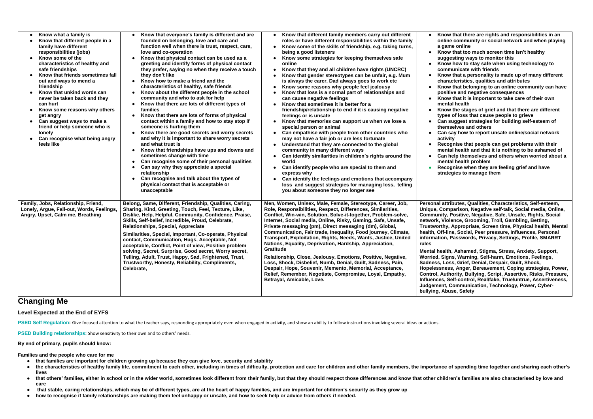| Know what a family is<br>Know that different people in a<br>family have different<br>responsibilities (jobs)<br>Know some of the<br>characteristics of healthy and<br>safe friendships<br>Know that friends sometimes fall<br>out and ways to mend a<br>friendship<br>Know that unkind words can<br>never be taken back and they<br>can hurt<br>Know some reasons why others<br>get angry<br>Can suggest ways to make a<br>friend or help someone who is<br>lonely | Know that everyone's family is different and are<br>founded on belonging, love and care and<br>function well when there is trust, respect, care,<br>love and co-operation<br>Know that physical contact can be used as a<br>greeting and identify forms of physical contact<br>they prefer, saying no when they receive a touch<br>they don't like<br>Know how to make a friend and the<br>characteristics of healthy, safe friends<br>Know about the different people in the school<br>community and who to ask for help<br>Know that there are lots of different types of<br>families<br>Know that there are lots of forms of physical<br>contact within a family and how to stay stop if<br>someone is hurting them<br>Know there are good secrets and worry secrets | Know that different family members carry out different<br>$\bullet$<br>roles or have different responsibilities within the family<br>Know some of the skills of friendship, e.g. taking turns,<br>being a good listeners<br>Know some strategies for keeping themselves safe<br>online<br>Know that they and all children have rights (UNCRC)<br>$\bullet$<br>Know that gender stereotypes can be unfair, e.g. Mum<br>is always the carer, Dad always goes to work etc<br>Know some reasons why people feel jealousy<br>Know that loss is a normal part of relationships and<br>can cause negative feelings<br>Know that sometimes it is better for a<br>$\bullet$<br>friendship/relationship to end if it is causing negative<br>feelings or is unsafe<br>Know that memories can support us when we lose a<br>$\bullet$<br>special person or animal<br>Can empathise with people from other countries who<br>$\bullet$ | Know<br>onlin<br>a gan<br>Know<br>sugg<br>Know<br>comn<br>Know<br>chara<br>Know<br>positi<br>Know<br>menta<br>Know<br>types<br>Can s<br>them:<br>Can s                                                                                                                                                |
|--------------------------------------------------------------------------------------------------------------------------------------------------------------------------------------------------------------------------------------------------------------------------------------------------------------------------------------------------------------------------------------------------------------------------------------------------------------------|-------------------------------------------------------------------------------------------------------------------------------------------------------------------------------------------------------------------------------------------------------------------------------------------------------------------------------------------------------------------------------------------------------------------------------------------------------------------------------------------------------------------------------------------------------------------------------------------------------------------------------------------------------------------------------------------------------------------------------------------------------------------------|-------------------------------------------------------------------------------------------------------------------------------------------------------------------------------------------------------------------------------------------------------------------------------------------------------------------------------------------------------------------------------------------------------------------------------------------------------------------------------------------------------------------------------------------------------------------------------------------------------------------------------------------------------------------------------------------------------------------------------------------------------------------------------------------------------------------------------------------------------------------------------------------------------------------------|-------------------------------------------------------------------------------------------------------------------------------------------------------------------------------------------------------------------------------------------------------------------------------------------------------|
| Can recognise what being angry<br>feels like                                                                                                                                                                                                                                                                                                                                                                                                                       | and why it is important to share worry secrets<br>and what trust is<br>Know that friendships have ups and downs and<br>sometimes change with time<br>Can recognise some of their personal qualities<br>Can say why they appreciate a special<br>relationship<br>Can recognise and talk about the types of<br>physical contact that is acceptable or<br>unacceptable                                                                                                                                                                                                                                                                                                                                                                                                     | may not have a fair job or are less fortunate<br>Understand that they are connected to the global<br>$\bullet$<br>community in many different ways<br>Can identify similarities in children's rights around the<br>world<br>Can identify people who are special to them and<br>$\bullet$<br>express why<br>Can identify the feelings and emotions that accompany<br>$\bullet$<br>loss and suggest strategies for managing loss, telling<br>you about someone they no longer see                                                                                                                                                                                                                                                                                                                                                                                                                                         | activi<br>Reco<br>menta<br>Can h<br>menta<br>Reco<br>strate                                                                                                                                                                                                                                           |
| Family, Jobs, Relationship, Friend,<br>Lonely, Argue, Fall-out, Words, Feelings,<br>Angry, Upset, Calm me, Breathing                                                                                                                                                                                                                                                                                                                                               | Belong, Same, Different, Friendship, Qualities, Caring,<br>Sharing, Kind, Greeting, Touch, Feel, Texture, Like,<br>Dislike, Help, Helpful, Community, Confidence, Praise,<br>Skills, Self-belief, Incredible, Proud, Celebrate,<br><b>Relationships, Special, Appreciate</b><br>Similarities, Special, Important, Co-operate, Physical<br>contact, Communication, Hugs, Acceptable, Not<br>acceptable, Conflict, Point of view, Positive problem<br>solving, Secret, Surprise, Good secret, Worry secret,<br>Telling, Adult, Trust, Happy, Sad, Frightened, Trust,<br>Trustworthy, Honesty, Reliability, Compliments,<br>Celebrate,                                                                                                                                     | Men, Women, Unisex, Male, Female, Stereotype, Career, Job,<br>Role, Responsibilities, Respect, Differences, Similarities,<br>Conflict, Win-win, Solution, Solve-it-together, Problem-solve,<br>Internet, Social media, Online, Risky, Gaming, Safe, Unsafe,<br>Private messaging (pm), Direct messaging (dm), Global,<br>Communication, Fair trade, Inequality, Food journey, Climate,<br>Transport, Exploitation, Rights, Needs, Wants, Justice, United<br>Nations, Equality, Deprivation, Hardship, Appreciation,<br>Gratitude<br>Relationship, Close, Jealousy, Emotions, Positive, Negative,<br>Loss, Shock, Disbelief, Numb, Denial, Guilt, Sadness, Pain,<br>Despair, Hope, Souvenir, Memento, Memorial, Acceptance,<br>Relief, Remember, Negotiate, Compromise, Loyal, Empathy,<br>Betrayal, Amicable, Love.                                                                                                     | <b>Personal attr</b><br><b>Unique, Com</b><br>Community,<br>network, Viol<br>Trustworthy,<br>health, Off-lir<br>information,<br>rules<br><b>Mental health</b><br><b>Worried, Sign</b><br>Sadness, Los<br><b>Hopelessnes</b><br><b>Control, Auth</b><br>Influences, S<br>Judgement, 0<br>bullying, Abu |

**Mental health, Ashamed, Stigma, Stress, Anxiety, Support, ns, Warning, Self-harm, Emotions, Feelings,** ss, Grief, Denial, Despair, Guilt, Shock, **Hopelessness, Anger, Bereavement, Coping strategies, Power, Control, Authority, Bullying, Script, Assertive, Risks, Pressure, Influences, Self-control, Real/fake, True/untrue, Assertiveness, Communication, Technology, Power, Cyber**use, Safety

- **Know that there are rights and responsibilities in an de community or social network and when playing** me online
- w that too much screen time isn't healthy **suggesting ways to monitor this**
- **Know how to stay safe when using technology to communicate with friends**
- **Know that a personality is made up of many different characteristics, qualities and attributes**
- **w** that belonging to an online community can have **positive and negative consequences**
- **w** that it is important to take care of their own **health**
- w the stages of grief and that there are different **of loss that cause people to grieve**
- suggest strategies for building self-esteem of **themselves and others**
- say how to report unsafe online/social network ity
- **gnise that people can get problems with their mental health and that it is nothing to be ashamed of**  help themselves and others when worried about **a mental health problem**
- **Proprise when they are feeling grief and have strategies to manage them**

**Personal attributes, Qualities, Characteristics, Self-esteem, nparison, Negative self-talk, Social media, Online,** Positive, Negative, Safe, Unsafe, Rights, Social **lence, Grooming, Troll, Gambling, Betting,** Appropriate, Screen time, Physical health, Mental **he. Social, Peer pressure, Influences, Personal information, Passwords, Privacy, Settings, Profile, SMARRT** 

## **Changing Me**

### **Level Expected at the End of EYFS**

PSED Self Regulation: Give focused attention to what the teacher says, responding appropriately even when engaged in activity, and show an ability to follow instructions involving several ideas or actions.

**PSED Building relationships:** Show sensitivity to their own and to others' needs.

#### **By end of primary, pupils should know:**

**Families and the people who care for me**

- **that families are important for children growing up because they can give love, security and stability**
- the characteristics of healthy family life, commitment to each other, including in times of difficulty, protection and care for children and other family members, the importance of spending time together and sharing each **lives**
- that others' families, either in school or in the wider world, sometimes look different from their family, but that they should respect those differences and know that other children's families are also characterised by **care**
- **that stable, caring relationships, which may be of different types, are at the heart of happy families, and are important for children's security as they grow up**
- **how to recognise if family relationships are making them feel unhappy or unsafe, and how to seek help or advice from others if needed.**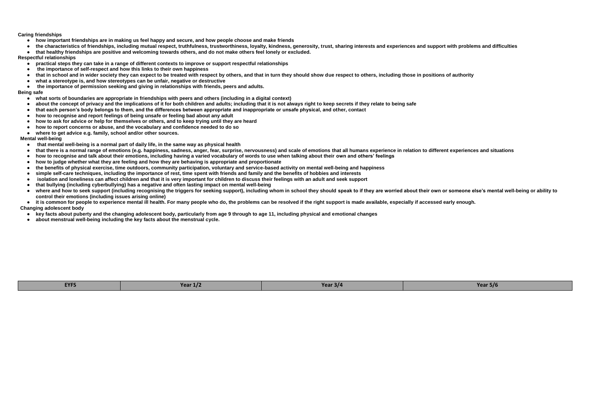**Caring friendships**

- **how important friendships are in making us feel happy and secure, and how people choose and make friends**
- the characteristics of friendships, including mutual respect, truthfulness, trustworthiness, loyalty, kindness, generosity, trust, sharing interests and experiences and support with problems and difficulties
- that healthy friendships are positive and welcoming towards others, and do not make others feel lonely or excluded.

**Respectful relationships**

- **practical steps they can take in a range of different contexts to improve or support respectful relationships**
- the importance of self-respect and how this links to their own happiness
- **that in school and in wider society they can expect to be treated with respect by others, and that in turn they should show due respect to others, including those in positions of authority**
- **what a stereotype is, and how stereotypes can be unfair, negative or destructive**
- **the importance of permission seeking and giving in relationships with friends, peers and adults.**

#### **Being safe**

- **what sorts of boundaries are appropriate in friendships with peers and others (including in a digital context)**
- **about the concept of privacy and the implications of it for both children and adults; including that it is not always right to keep secrets if they relate to being safe**
- **that each person's body belongs to them, and the differences between appropriate and inappropriate or unsafe physical, and other, contact**
- **how to recognise and report feelings of being unsafe or feeling bad about any adult**
- how to ask for advice or help for themselves or others, and to keep trying until they are heard
- **how to report concerns or abuse, and the vocabulary and confidence needed to do so**
- **where to get advice e.g. family, school and/or other sources.**

#### **Mental well-being**

- **that mental well-being is a normal part of daily life, in the same way as physical health**
- **that there is a normal range of emotions (e.g. happiness, sadness, anger, fear, surprise, nervousness) and scale of emotions that all humans experience in relation to different experiences and situations**
- **how to recognise and talk about their emotions, including having a varied vocabulary of words to use when talking about their own and others' feelings**
- how to judge whether what they are feeling and how they are behaving is appropriate and proportionate
- **the benefits of physical exercise, time outdoors, community participation, voluntary and service-based activity on mental well-being and happiness**
- simple self-care techniques, including the importance of rest, time spent with friends and family and the benefits of hobbies and interests
- isolation and loneliness can affect children and that it is very important for children to discuss their feelings with an adult and seek support
- **that bullying (including cyberbullying) has a negative and often lasting impact on mental well-being**
- where and how to seek support (including recognising the triggers for seeking support), including whom in school they should speak to if they are worried about their own or someone else's mental well-being or ability to **control their emotions (including issues arising online)**
- it is common for people to experience mental ill health. For many people who do, the problems can be resolved if the right support is made available, especially if accessed early enough. **Changing adolescent body**
- **key facts about puberty and the changing adolescent body, particularly from age 9 through to age 11, including physical and emotional changes**
- **about menstrual well-being including the key facts about the menstrual cycle.**

| <b>EYES</b><br>--- | $\mathsf{Var}(1/\lambda)$ | $V_{\mathbf{A}}$<br>--- |  |
|--------------------|---------------------------|-------------------------|--|